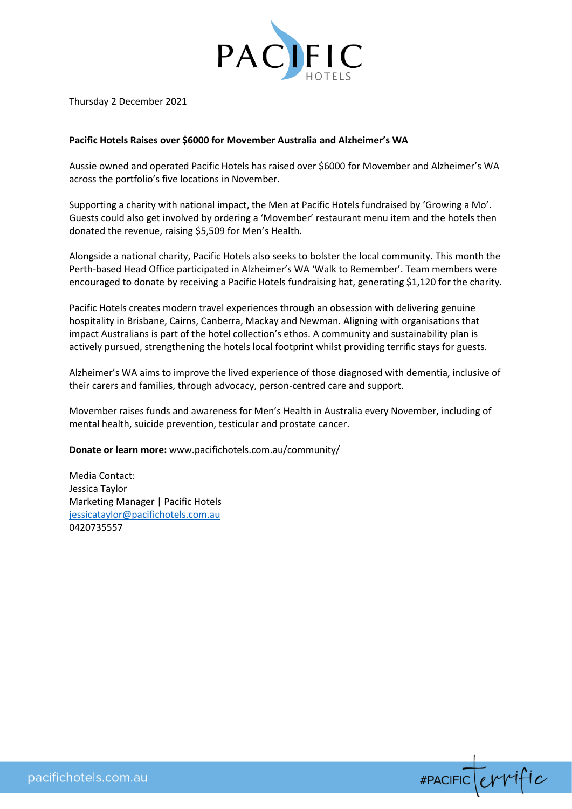

Thursday 2 December 2021

## **Pacific Hotels Raises over \$6000 for Movember Australia and Alzheimer's WA**

Aussie owned and operated Pacific Hotels has raised over \$6000 for Movember and Alzheimer's WA across the portfolio's five locations in November.

Supporting a charity with national impact, the Men at Pacific Hotels fundraised by 'Growing a Mo'. Guests could also get involved by ordering a 'Movember' restaurant menu item and the hotels then donated the revenue, raising \$5,509 for Men's Health.

Alongside a national charity, Pacific Hotels also seeks to bolster the local community. This month the Perth-based Head Office participated in Alzheimer's WA 'Walk to Remember'. Team members were encouraged to donate by receiving a Pacific Hotels fundraising hat, generating \$1,120 for the charity.

Pacific Hotels creates modern travel experiences through an obsession with delivering genuine hospitality in Brisbane, Cairns, Canberra, Mackay and Newman. Aligning with organisations that impact Australians is part of the hotel collection's ethos. A community and sustainability plan is actively pursued, strengthening the hotels local footprint whilst providing terrific stays for guests.

Alzheimer's WA aims to improve the lived experience of those diagnosed with dementia, inclusive of their carers and families, through advocacy, person-centred care and support.

Movember raises funds and awareness for Men's Health in Australia every November, including of mental health, suicide prevention, testicular and prostate cancer.

**Donate or learn more:** www.pacifichotels.com.au/community/

Media Contact: Jessica Taylor Marketing Manager | Pacific Hotels [jessicataylor@pacifichotels.com.au](mailto:jessicataylor@pacifichotels.com.au) 0420735557